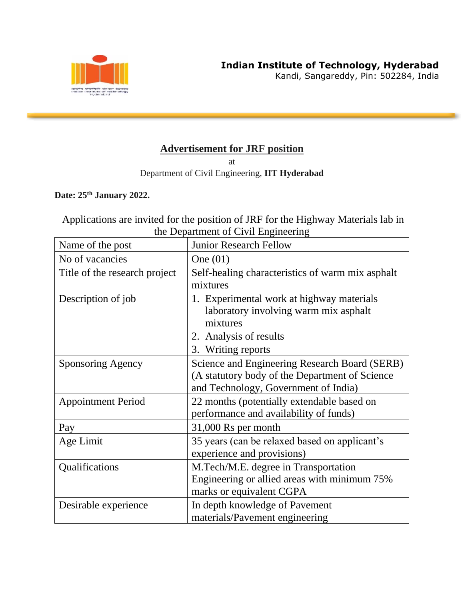

Kandi, Sangareddy, Pin: 502284, India

## **Advertisement for JRF position**

at

Department of Civil Engineering, **IIT Hyderabad**

**Date: 25th January 2022.**

Applications are invited for the position of JRF for the Highway Materials lab in the Department of Civil Engineering

| Name of the post              | <b>Junior Research Fellow</b>                                                                                                                  |
|-------------------------------|------------------------------------------------------------------------------------------------------------------------------------------------|
| No of vacancies               | One $(01)$                                                                                                                                     |
| Title of the research project | Self-healing characteristics of warm mix asphalt<br>mixtures                                                                                   |
| Description of job            | 1. Experimental work at highway materials<br>laboratory involving warm mix asphalt<br>mixtures<br>2. Analysis of results<br>3. Writing reports |
| Sponsoring Agency             | Science and Engineering Research Board (SERB)<br>(A statutory body of the Department of Science<br>and Technology, Government of India)        |
| <b>Appointment Period</b>     | 22 months (potentially extendable based on<br>performance and availability of funds)                                                           |
| Pay                           | 31,000 Rs per month                                                                                                                            |
| Age Limit                     | 35 years (can be relaxed based on applicant's<br>experience and provisions)                                                                    |
| Qualifications                | M.Tech/M.E. degree in Transportation<br>Engineering or allied areas with minimum 75%<br>marks or equivalent CGPA                               |
| Desirable experience          | In depth knowledge of Pavement<br>materials/Pavement engineering                                                                               |